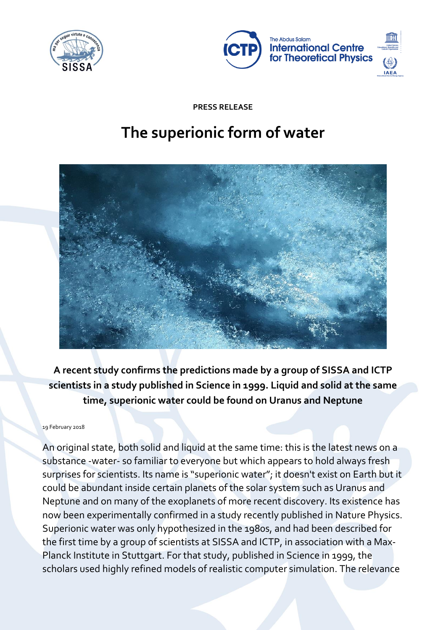



**PRESS RELEASE**

# **The superionic form of water**



**A recent study confirms the predictions made by a group of SISSA and ICTP scientists in a study published in Science in 1999. Liquid and solid at the same time, superionic water could be found on Uranus and Neptune**

#### 19 February 2018

An original state, both solid and liquid at the same time: this is the latest news on a substance -water- so familiar to everyone but which appears to hold always fresh surprises for scientists. Its name is "superionic water"; it doesn't exist on Earth but it could be abundant inside certain planets of the solar system such as Uranus and Neptune and on many of the exoplanets of more recent discovery. Its existence has now been experimentally confirmed in a study recently published in Nature Physics. Superionic water was only hypothesized in the 1980s, and had been described for the first time by a group of scientists at SISSA and ICTP, in association with a Max-Planck Institute in Stuttgart. For that study, published in Science in 1999, the scholars used highly refined models of realistic computer simulation. The relevance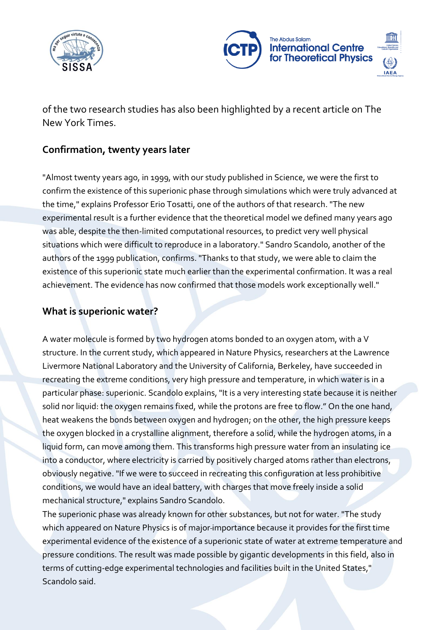



of the two research studies has also been highlighted by a recent article on The New York Times.

## **Confirmation, twenty years later**

"Almost twenty years ago, in 1999, with our study published in Science, we were the first to confirm the existence of this superionic phase through simulations which were truly advanced at the time," explains Professor Erio Tosatti, one of the authors of that research. "The new experimental result is a further evidence that the theoretical model we defined many years ago was able, despite the then-limited computational resources, to predict very well physical situations which were difficult to reproduce in a laboratory." Sandro Scandolo, another of the authors of the 1999 publication, confirms. "Thanks to that study, we were able to claim the existence of this superionic state much earlier than the experimental confirmation. It was a real achievement. The evidence has now confirmed that those models work exceptionally well."

## **What is superionic water?**

A water molecule is formed by two hydrogen atoms bonded to an oxygen atom, with a V structure. In the current study, which appeared in Nature Physics, researchers at the Lawrence Livermore National Laboratory and the University of California, Berkeley, have succeeded in recreating the extreme conditions, very high pressure and temperature, in which water is in a particular phase: superionic. Scandolo explains, "It is a very interesting state because it is neither solid nor liquid: the oxygen remains fixed, while the protons are free to flow." On the one hand, heat weakens the bonds between oxygen and hydrogen; on the other, the high pressure keeps the oxygen blocked in a crystalline alignment, therefore a solid, while the hydrogen atoms, in a liquid form, can move among them. This transforms high pressure water from an insulating ice into a conductor, where electricity is carried by positively charged atoms rather than electrons, obviously negative. "If we were to succeed in recreating this configuration at less prohibitive conditions, we would have an ideal battery, with charges that move freely inside a solid mechanical structure," explains Sandro Scandolo.

The superionic phase was already known for other substances, but not for water. "The study which appeared on Nature Physics is of major importance because it provides for the first time experimental evidence of the existence of a superionic state of water at extreme temperature and pressure conditions. The result was made possible by gigantic developments in this field, also in terms of cutting-edge experimental technologies and facilities built in the United States," Scandolo said.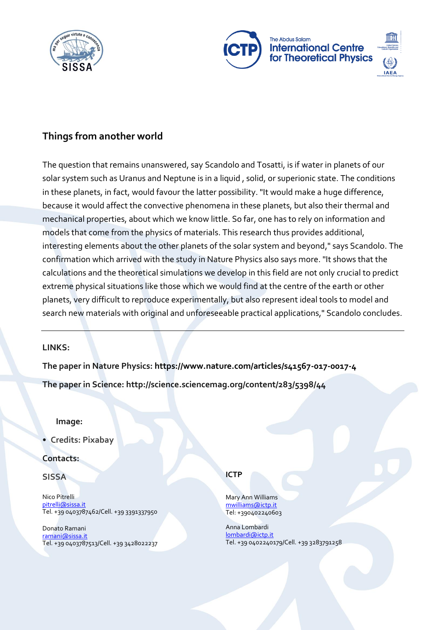



## **Things from another world**

The question that remains unanswered, say Scandolo and Tosatti, is if water in planets of our solar system such as Uranus and Neptune is in a liquid , solid, or superionic state. The conditions in these planets, in fact, would favour the latter possibility. "It would make a huge difference, because it would affect the convective phenomena in these planets, but also their thermal and mechanical properties, about which we know little. So far, one has to rely on information and models that come from the physics of materials. This research thus provides additional, interesting elements about the other planets of the solar system and beyond," says Scandolo. The confirmation which arrived with the study in Nature Physics also says more. "It shows that the calculations and the theoretical simulations we develop in this field are not only crucial to predict extreme physical situations like those which we would find at the centre of the earth or other planets, very difficult to reproduce experimentally, but also represent ideal tools to model and search new materials with original and unforeseeable practical applications," Scandolo concludes.

### **LINKS:**

**The paper in Nature Physics: https://www.nature.com/articles/s41567-017-0017-4**

**The paper in Science: http://science.sciencemag.org/content/283/5398/44**

#### **Image:**

• **Credits: Pixabay**

### **Contacts:**

#### **SISSA**

Nico Pitrelli pitrelli@sissa.it Tel. +39 0403787462/Cell. +39 3391337950

Donato Ramani [ramani@sissa.it](mailto:ramani@sissa.it) Tel. +39 0403787513/Cell. +39 3428022237

#### **ICTP**

Mary Ann Williams [mwilliams@ictp.it](mailto:mwilliams@ictp.it) Tel: +390402240603

Anna Lombardi [lombardi@ictp.it](mailto:lombardi@ictp.it) Tel. +39 0402240179/Cell. +39 3283791258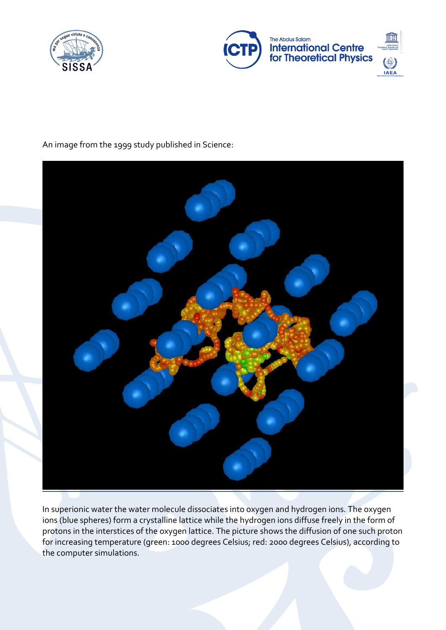



## An image from the 1999 study published in Science:



In superionic water the water molecule dissociates into oxygen and hydrogen ions. The oxygen ions (blue spheres) form a crystalline lattice while the hydrogen ions diffuse freely in the form of protons in the interstices of the oxygen lattice. The picture shows the diffusion of one such proton for increasing temperature (green: 1000 degrees Celsius; red: 2000 degrees Celsius), according to the computer simulations.